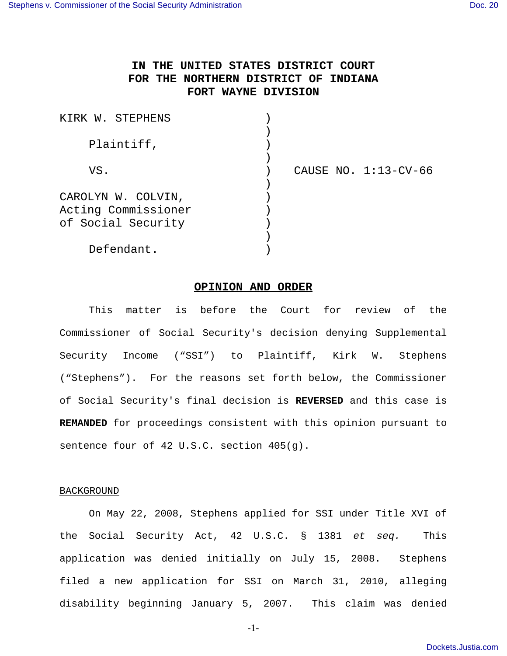# **IN THE UNITED STATES DISTRICT COURT FOR THE NORTHERN DISTRICT OF INDIANA FORT WAYNE DIVISION**

| KIRK W. STEPHENS    |                        |
|---------------------|------------------------|
|                     |                        |
| Plaintiff,          |                        |
|                     |                        |
| VS.                 | CAUSE NO. $1:13-CV-66$ |
|                     |                        |
| CAROLYN W. COLVIN,  |                        |
| Acting Commissioner |                        |
| of Social Security  |                        |
|                     |                        |
| Defendant.          |                        |

## **OPINION AND ORDER**

This matter is before the Court for review of the Commissioner of Social Security's decision denying Supplemental Security Income ("SSI") to Plaintiff, Kirk W. Stephens ("Stephens"). For the reasons set forth below, the Commissioner of Social Security's final decision is **REVERSED** and this case is **REMANDED** for proceedings consistent with this opinion pursuant to sentence four of 42 U.S.C. section 405(g).

# **BACKGROUND**

On May 22, 2008, Stephens applied for SSI under Title XVI of the Social Security Act, 42 U.S.C. § 1381 et seq. This application was denied initially on July 15, 2008. Stephens filed a new application for SSI on March 31, 2010, alleging disability beginning January 5, 2007. This claim was denied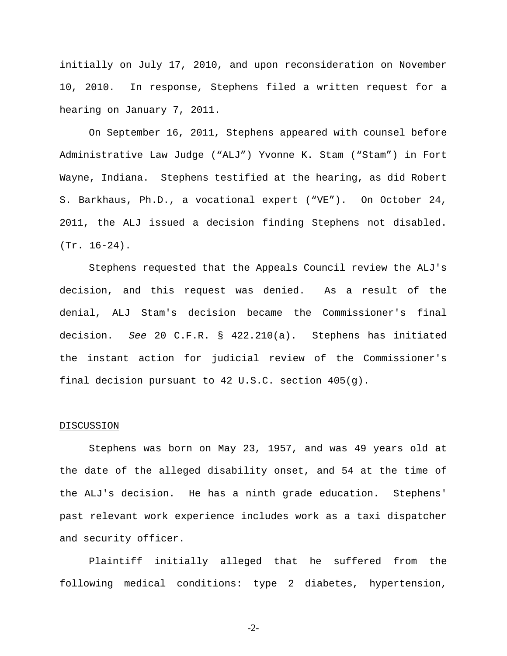initially on July 17, 2010, and upon reconsideration on November 10, 2010. In response, Stephens filed a written request for a hearing on January 7, 2011.

On September 16, 2011, Stephens appeared with counsel before Administrative Law Judge ("ALJ") Yvonne K. Stam ("Stam") in Fort Wayne, Indiana. Stephens testified at the hearing, as did Robert S. Barkhaus, Ph.D., a vocational expert ("VE"). On October 24, 2011, the ALJ issued a decision finding Stephens not disabled. (Tr. 16-24).

Stephens requested that the Appeals Council review the ALJ's decision, and this request was denied. As a result of the denial, ALJ Stam's decision became the Commissioner's final decision. See 20 C.F.R. § 422.210(a). Stephens has initiated the instant action for judicial review of the Commissioner's final decision pursuant to 42 U.S.C. section 405(g).

#### DISCUSSION

Stephens was born on May 23, 1957, and was 49 years old at the date of the alleged disability onset, and 54 at the time of the ALJ's decision. He has a ninth grade education. Stephens' past relevant work experience includes work as a taxi dispatcher and security officer.

Plaintiff initially alleged that he suffered from the following medical conditions: type 2 diabetes, hypertension,

-2-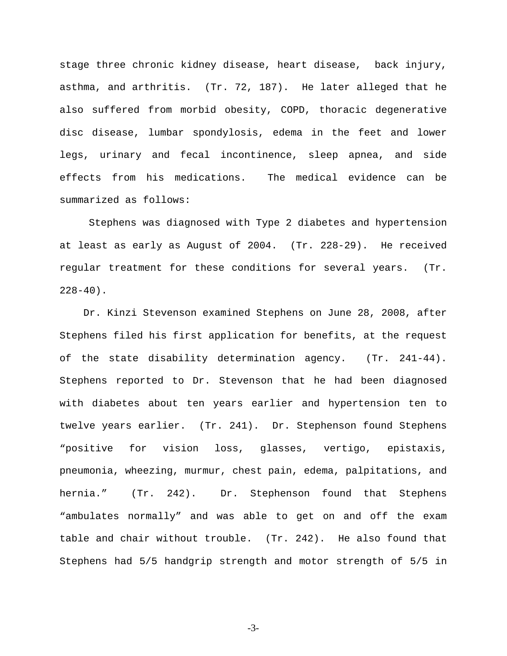stage three chronic kidney disease, heart disease, back injury, asthma, and arthritis. (Tr. 72, 187). He later alleged that he also suffered from morbid obesity, COPD, thoracic degenerative disc disease, lumbar spondylosis, edema in the feet and lower legs, urinary and fecal incontinence, sleep apnea, and side effects from his medications. The medical evidence can be summarized as follows:

Stephens was diagnosed with Type 2 diabetes and hypertension at least as early as August of 2004. (Tr. 228-29). He received regular treatment for these conditions for several years. (Tr.  $228-40$ ).

 Dr. Kinzi Stevenson examined Stephens on June 28, 2008, after Stephens filed his first application for benefits, at the request of the state disability determination agency. (Tr. 241-44). Stephens reported to Dr. Stevenson that he had been diagnosed with diabetes about ten years earlier and hypertension ten to twelve years earlier. (Tr. 241). Dr. Stephenson found Stephens "positive for vision loss, glasses, vertigo, epistaxis, pneumonia, wheezing, murmur, chest pain, edema, palpitations, and hernia." (Tr. 242). Dr. Stephenson found that Stephens "ambulates normally" and was able to get on and off the exam table and chair without trouble. (Tr. 242). He also found that Stephens had 5/5 handgrip strength and motor strength of 5/5 in

-3-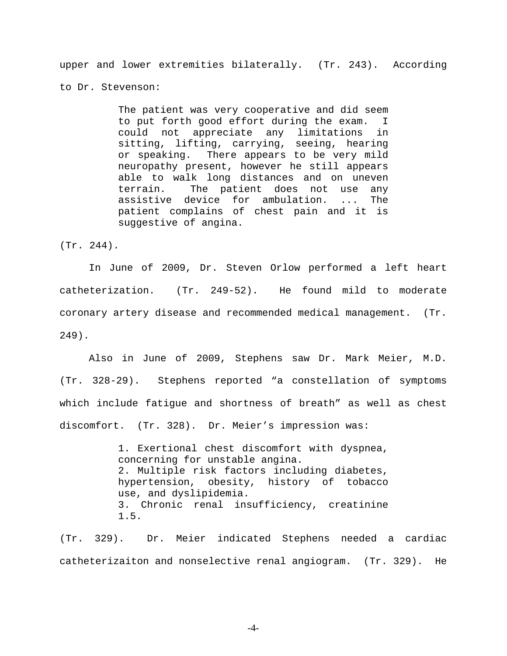upper and lower extremities bilaterally. (Tr. 243). According

to Dr. Stevenson:

The patient was very cooperative and did seem to put forth good effort during the exam. I could not appreciate any limitations in sitting, lifting, carrying, seeing, hearing or speaking. There appears to be very mild neuropathy present, however he still appears able to walk long distances and on uneven terrain. The patient does not use any assistive device for ambulation. ... The patient complains of chest pain and it is suggestive of angina.

(Tr. 244).

In June of 2009, Dr. Steven Orlow performed a left heart catheterization. (Tr. 249-52). He found mild to moderate coronary artery disease and recommended medical management. (Tr. 249).

Also in June of 2009, Stephens saw Dr. Mark Meier, M.D. (Tr. 328-29). Stephens reported "a constellation of symptoms which include fatigue and shortness of breath" as well as chest discomfort. (Tr. 328). Dr. Meier's impression was:

> 1. Exertional chest discomfort with dyspnea, concerning for unstable angina. 2. Multiple risk factors including diabetes, hypertension, obesity, history of tobacco use, and dyslipidemia. 3. Chronic renal insufficiency, creatinine 1.5.

(Tr. 329). Dr. Meier indicated Stephens needed a cardiac catheterizaiton and nonselective renal angiogram. (Tr. 329). He

-4-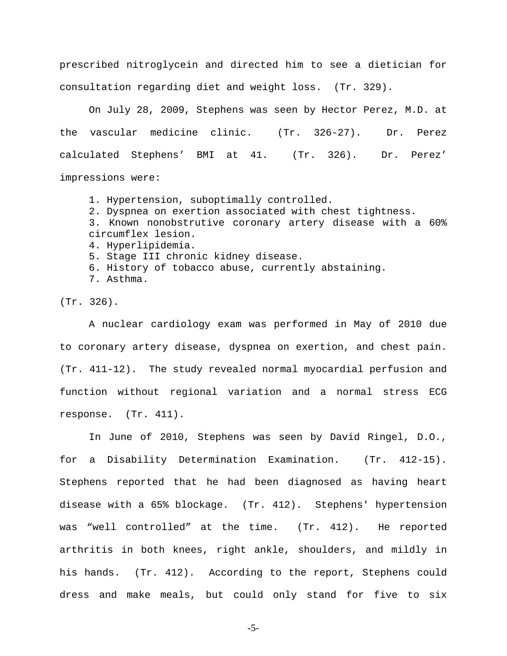prescribed nitroglycein and directed him to see a dietician for consultation regarding diet and weight loss. (Tr. 329).

On July 28, 2009, Stephens was seen by Hector Perez, M.D. at the vascular medicine clinic. (Tr. 326-27). Dr. Perez calculated Stephens' BMI at 41. (Tr. 326). Dr. Perez' impressions were:

- 1. Hypertension, suboptimally controlled.
- 2. Dyspnea on exertion associated with chest tightness.
- 3. Known nonobstrutive coronary artery disease with a 60% circumflex lesion.
- 4. Hyperlipidemia.
- 5. Stage III chronic kidney disease.
- 6. History of tobacco abuse, currently abstaining.
- 7. Asthma.

(Tr. 326).

A nuclear cardiology exam was performed in May of 2010 due to coronary artery disease, dyspnea on exertion, and chest pain. (Tr. 411-12). The study revealed normal myocardial perfusion and function without regional variation and a normal stress ECG response. (Tr. 411).

In June of 2010, Stephens was seen by David Ringel, D.O., for a Disability Determination Examination. (Tr. 412-15). Stephens reported that he had been diagnosed as having heart disease with a 65% blockage. (Tr. 412). Stephens' hypertension was "well controlled" at the time. (Tr. 412). He reported arthritis in both knees, right ankle, shoulders, and mildly in his hands. (Tr. 412). According to the report, Stephens could dress and make meals, but could only stand for five to six

-5-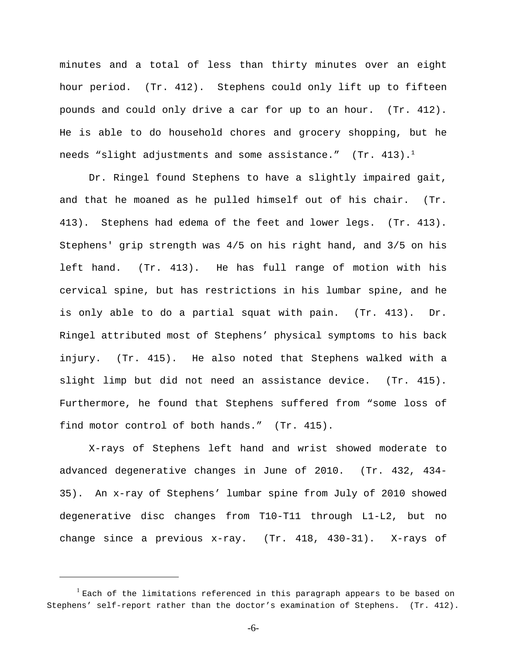minutes and a total of less than thirty minutes over an eight hour period. (Tr. 412). Stephens could only lift up to fifteen pounds and could only drive a car for up to an hour. (Tr. 412). He is able to do household chores and grocery shopping, but he needs "slight adjustments and some assistance."  $(Tr. 413).$ <sup>1</sup>

Dr. Ringel found Stephens to have a slightly impaired gait, and that he moaned as he pulled himself out of his chair. (Tr. 413). Stephens had edema of the feet and lower legs. (Tr. 413). Stephens' grip strength was 4/5 on his right hand, and 3/5 on his left hand. (Tr. 413). He has full range of motion with his cervical spine, but has restrictions in his lumbar spine, and he is only able to do a partial squat with pain. (Tr. 413). Dr. Ringel attributed most of Stephens' physical symptoms to his back injury. (Tr. 415). He also noted that Stephens walked with a slight limp but did not need an assistance device. (Tr. 415). Furthermore, he found that Stephens suffered from "some loss of find motor control of both hands." (Tr. 415).

X-rays of Stephens left hand and wrist showed moderate to advanced degenerative changes in June of 2010. (Tr. 432, 434- 35). An x-ray of Stephens' lumbar spine from July of 2010 showed degenerative disc changes from T10-T11 through L1-L2, but no change since a previous x-ray. (Tr. 418, 430-31). X-rays of

 $^{\rm 1}$  Each of the limitations referenced in this paragraph appears to be based on Stephens' self-report rather than the doctor's examination of Stephens. (Tr. 412).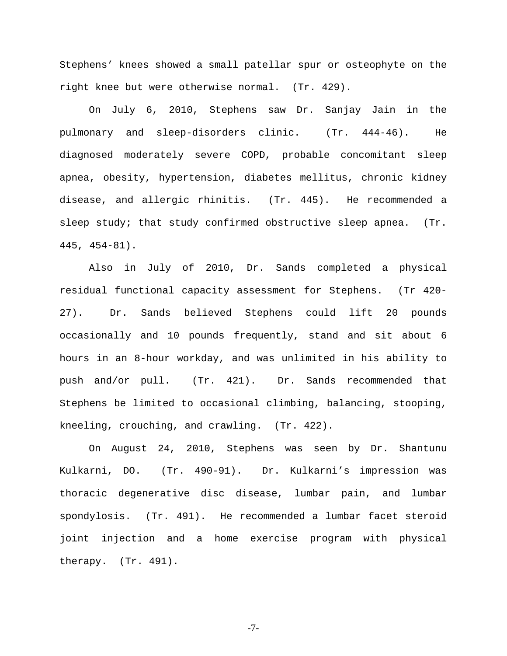Stephens' knees showed a small patellar spur or osteophyte on the right knee but were otherwise normal. (Tr. 429).

On July 6, 2010, Stephens saw Dr. Sanjay Jain in the pulmonary and sleep-disorders clinic. (Tr. 444-46). He diagnosed moderately severe COPD, probable concomitant sleep apnea, obesity, hypertension, diabetes mellitus, chronic kidney disease, and allergic rhinitis. (Tr. 445). He recommended a sleep study; that study confirmed obstructive sleep apnea. (Tr. 445, 454-81).

Also in July of 2010, Dr. Sands completed a physical residual functional capacity assessment for Stephens. (Tr 420- 27). Dr. Sands believed Stephens could lift 20 pounds occasionally and 10 pounds frequently, stand and sit about 6 hours in an 8-hour workday, and was unlimited in his ability to push and/or pull. (Tr. 421). Dr. Sands recommended that Stephens be limited to occasional climbing, balancing, stooping, kneeling, crouching, and crawling. (Tr. 422).

On August 24, 2010, Stephens was seen by Dr. Shantunu Kulkarni, DO. (Tr. 490-91). Dr. Kulkarni's impression was thoracic degenerative disc disease, lumbar pain, and lumbar spondylosis. (Tr. 491). He recommended a lumbar facet steroid joint injection and a home exercise program with physical therapy. (Tr. 491).

-7-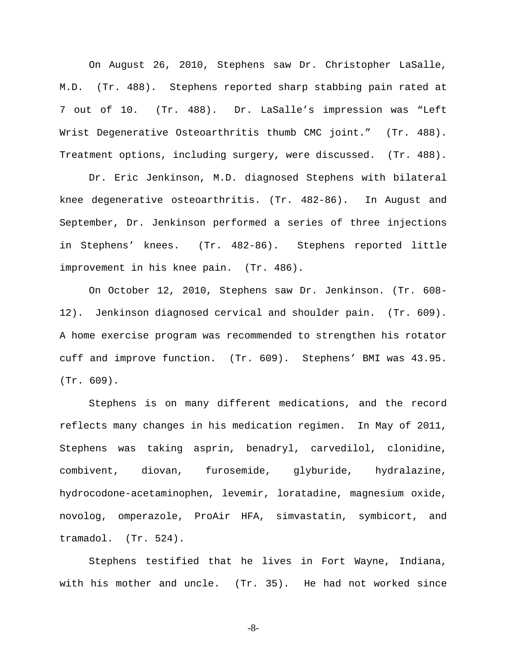On August 26, 2010, Stephens saw Dr. Christopher LaSalle, M.D. (Tr. 488). Stephens reported sharp stabbing pain rated at 7 out of 10. (Tr. 488). Dr. LaSalle's impression was "Left Wrist Degenerative Osteoarthritis thumb CMC joint." (Tr. 488). Treatment options, including surgery, were discussed. (Tr. 488).

Dr. Eric Jenkinson, M.D. diagnosed Stephens with bilateral knee degenerative osteoarthritis. (Tr. 482-86). In August and September, Dr. Jenkinson performed a series of three injections in Stephens' knees. (Tr. 482-86). Stephens reported little improvement in his knee pain. (Tr. 486).

On October 12, 2010, Stephens saw Dr. Jenkinson. (Tr. 608- 12). Jenkinson diagnosed cervical and shoulder pain. (Tr. 609). A home exercise program was recommended to strengthen his rotator cuff and improve function. (Tr. 609). Stephens' BMI was 43.95. (Tr. 609).

Stephens is on many different medications, and the record reflects many changes in his medication regimen. In May of 2011, Stephens was taking asprin, benadryl, carvedilol, clonidine, combivent, diovan, furosemide, glyburide, hydralazine, hydrocodone-acetaminophen, levemir, loratadine, magnesium oxide, novolog, omperazole, ProAir HFA, simvastatin, symbicort, and tramadol. (Tr. 524).

Stephens testified that he lives in Fort Wayne, Indiana, with his mother and uncle. (Tr. 35). He had not worked since

-8-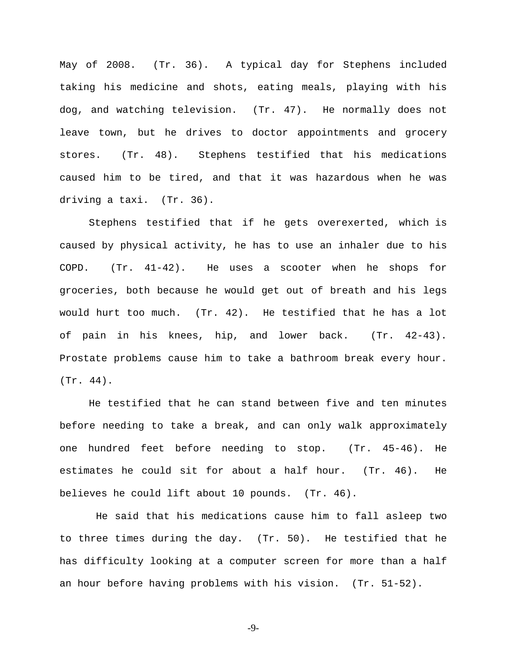May of 2008. (Tr. 36). A typical day for Stephens included taking his medicine and shots, eating meals, playing with his dog, and watching television. (Tr. 47). He normally does not leave town, but he drives to doctor appointments and grocery stores. (Tr. 48). Stephens testified that his medications caused him to be tired, and that it was hazardous when he was driving a taxi. (Tr. 36).

Stephens testified that if he gets overexerted, which is caused by physical activity, he has to use an inhaler due to his COPD. (Tr. 41-42). He uses a scooter when he shops for groceries, both because he would get out of breath and his legs would hurt too much. (Tr. 42). He testified that he has a lot of pain in his knees, hip, and lower back. (Tr. 42-43). Prostate problems cause him to take a bathroom break every hour. (Tr. 44).

He testified that he can stand between five and ten minutes before needing to take a break, and can only walk approximately one hundred feet before needing to stop. (Tr. 45-46). He estimates he could sit for about a half hour. (Tr. 46). He believes he could lift about 10 pounds. (Tr. 46).

He said that his medications cause him to fall asleep two to three times during the day. (Tr. 50). He testified that he has difficulty looking at a computer screen for more than a half an hour before having problems with his vision. (Tr. 51-52).

-9-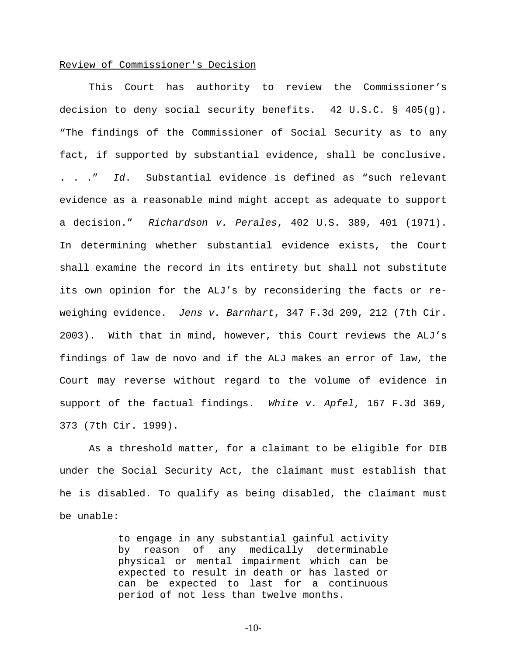### Review of Commissioner's Decision

This Court has authority to review the Commissioner's decision to deny social security benefits. 42 U.S.C. § 405(g). "The findings of the Commissioner of Social Security as to any fact, if supported by substantial evidence, shall be conclusive. . . ." Id. Substantial evidence is defined as "such relevant evidence as a reasonable mind might accept as adequate to support a decision." Richardson v. Perales, 402 U.S. 389, 401 (1971). In determining whether substantial evidence exists, the Court shall examine the record in its entirety but shall not substitute its own opinion for the ALJ's by reconsidering the facts or reweighing evidence. Jens v. Barnhart, 347 F.3d 209, 212 (7th Cir. 2003). With that in mind, however, this Court reviews the ALJ's findings of law de novo and if the ALJ makes an error of law, the Court may reverse without regard to the volume of evidence in support of the factual findings. White v. Apfel, 167 F.3d 369, 373 (7th Cir. 1999).

As a threshold matter, for a claimant to be eligible for DIB under the Social Security Act, the claimant must establish that he is disabled. To qualify as being disabled, the claimant must be unable:

> to engage in any substantial gainful activity by reason of any medically determinable physical or mental impairment which can be expected to result in death or has lasted or can be expected to last for a continuous period of not less than twelve months.

> > -10-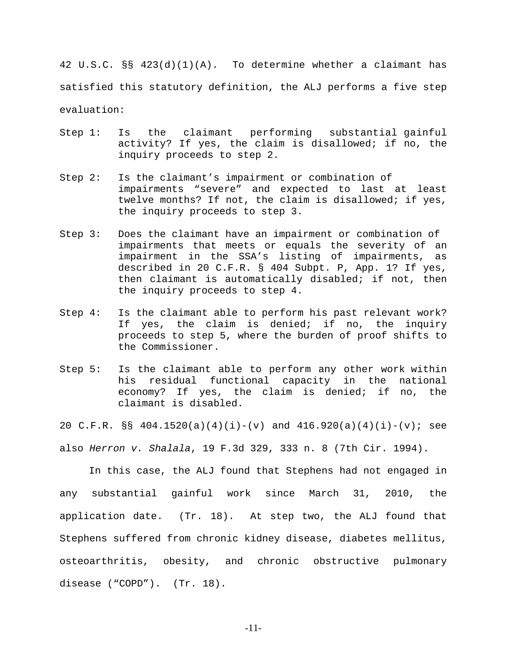42 U.S.C. §§ 423(d)(1)(A). To determine whether a claimant has satisfied this statutory definition, the ALJ performs a five step evaluation:

- Step 1: Is the claimant performing substantial gainful activity? If yes, the claim is disallowed; if no, the inquiry proceeds to step 2.
- Step 2: Is the claimant's impairment or combination of impairments "severe" and expected to last at least twelve months? If not, the claim is disallowed; if yes, the inquiry proceeds to step 3.
- Step 3: Does the claimant have an impairment or combination of impairments that meets or equals the severity of an impairment in the SSA's listing of impairments, as described in 20 C.F.R. § 404 Subpt. P, App. 1? If yes, then claimant is automatically disabled; if not, then the inquiry proceeds to step 4.
- Step 4: Is the claimant able to perform his past relevant work? If yes, the claim is denied; if no, the inquiry proceeds to step 5, where the burden of proof shifts to the Commissioner.
- Step 5: Is the claimant able to perform any other work within his residual functional capacity in the national economy? If yes, the claim is denied; if no, the claimant is disabled.

20 C.F.R. §§ 404.1520(a)(4)(i)-(y) and 416.920(a)(4)(i)-(y); see

also Herron v. Shalala, 19 F.3d 329, 333 n. 8 (7th Cir. 1994).

In this case, the ALJ found that Stephens had not engaged in any substantial gainful work since March 31, 2010, the application date. (Tr. 18). At step two, the ALJ found that Stephens suffered from chronic kidney disease, diabetes mellitus, osteoarthritis, obesity, and chronic obstructive pulmonary disease ("COPD"). (Tr. 18).

-11-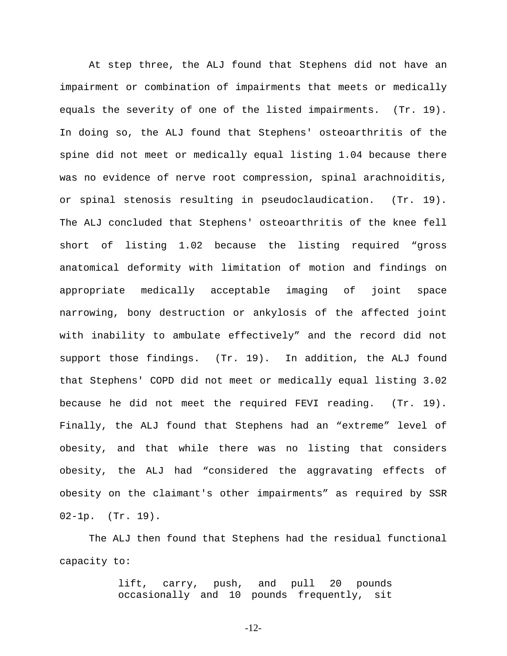At step three, the ALJ found that Stephens did not have an impairment or combination of impairments that meets or medically equals the severity of one of the listed impairments. (Tr. 19). In doing so, the ALJ found that Stephens' osteoarthritis of the spine did not meet or medically equal listing 1.04 because there was no evidence of nerve root compression, spinal arachnoiditis, or spinal stenosis resulting in pseudoclaudication. (Tr. 19). The ALJ concluded that Stephens' osteoarthritis of the knee fell short of listing 1.02 because the listing required "gross anatomical deformity with limitation of motion and findings on appropriate medically acceptable imaging of joint space narrowing, bony destruction or ankylosis of the affected joint with inability to ambulate effectively" and the record did not support those findings. (Tr. 19). In addition, the ALJ found that Stephens' COPD did not meet or medically equal listing 3.02 because he did not meet the required FEVI reading. (Tr. 19). Finally, the ALJ found that Stephens had an "extreme" level of obesity, and that while there was no listing that considers obesity, the ALJ had "considered the aggravating effects of obesity on the claimant's other impairments" as required by SSR 02-1p. (Tr. 19).

The ALJ then found that Stephens had the residual functional capacity to:

> lift, carry, push, and pull 20 pounds occasionally and 10 pounds frequently, sit

> > -12-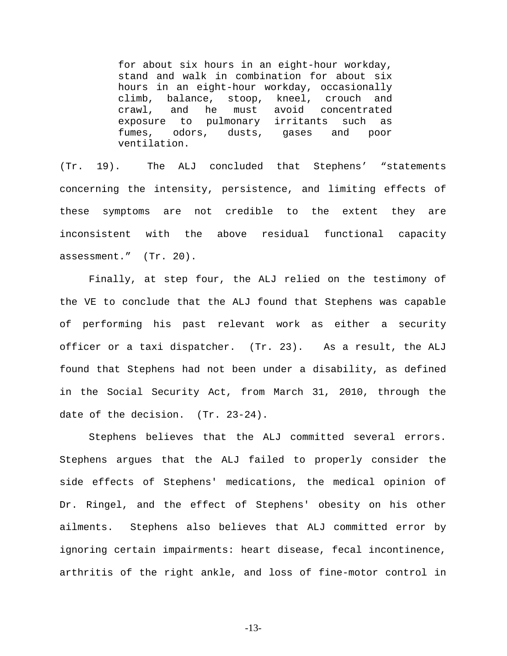for about six hours in an eight-hour workday, stand and walk in combination for about six hours in an eight-hour workday, occasionally climb, balance, stoop, kneel, crouch and crawl, and he must avoid concentrated exposure to pulmonary irritants such as fumes, odors, dusts, gases and poor ventilation.

(Tr. 19). The ALJ concluded that Stephens' "statements concerning the intensity, persistence, and limiting effects of these symptoms are not credible to the extent they are inconsistent with the above residual functional capacity assessment." (Tr. 20).

Finally, at step four, the ALJ relied on the testimony of the VE to conclude that the ALJ found that Stephens was capable of performing his past relevant work as either a security officer or a taxi dispatcher. (Tr. 23). As a result, the ALJ found that Stephens had not been under a disability, as defined in the Social Security Act, from March 31, 2010, through the date of the decision. (Tr. 23-24).

Stephens believes that the ALJ committed several errors. Stephens argues that the ALJ failed to properly consider the side effects of Stephens' medications, the medical opinion of Dr. Ringel, and the effect of Stephens' obesity on his other ailments. Stephens also believes that ALJ committed error by ignoring certain impairments: heart disease, fecal incontinence, arthritis of the right ankle, and loss of fine-motor control in

-13-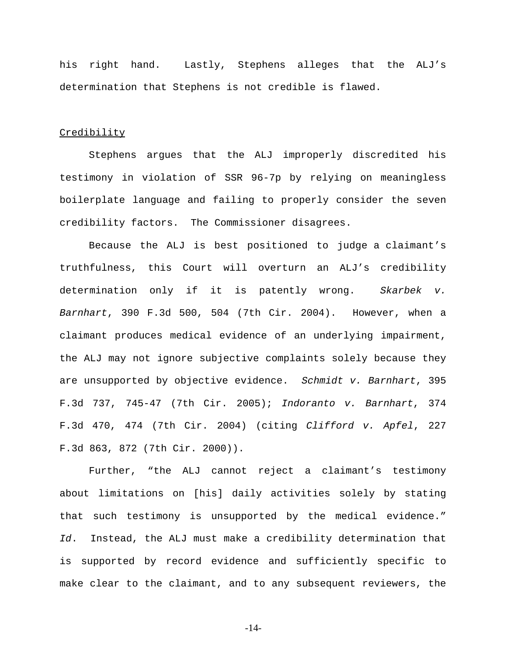his right hand. Lastly, Stephens alleges that the ALJ's determination that Stephens is not credible is flawed.

#### **Credibility**

Stephens argues that the ALJ improperly discredited his testimony in violation of SSR 96-7p by relying on meaningless boilerplate language and failing to properly consider the seven credibility factors. The Commissioner disagrees.

 Because the ALJ is best positioned to judge a claimant's truthfulness, this Court will overturn an ALJ's credibility determination only if it is patently wrong. Skarbek v. Barnhart, 390 F.3d 500, 504 (7th Cir. 2004). However, when a claimant produces medical evidence of an underlying impairment, the ALJ may not ignore subjective complaints solely because they are unsupported by objective evidence. Schmidt v. Barnhart, 395 F.3d 737, 745-47 (7th Cir. 2005); Indoranto v. Barnhart, 374 F.3d 470, 474 (7th Cir. 2004) (citing Clifford v. Apfel, 227 F.3d 863, 872 (7th Cir. 2000)).

Further, "the ALJ cannot reject a claimant's testimony about limitations on [his] daily activities solely by stating that such testimony is unsupported by the medical evidence." Id. Instead, the ALJ must make a credibility determination that is supported by record evidence and sufficiently specific to make clear to the claimant, and to any subsequent reviewers, the

-14-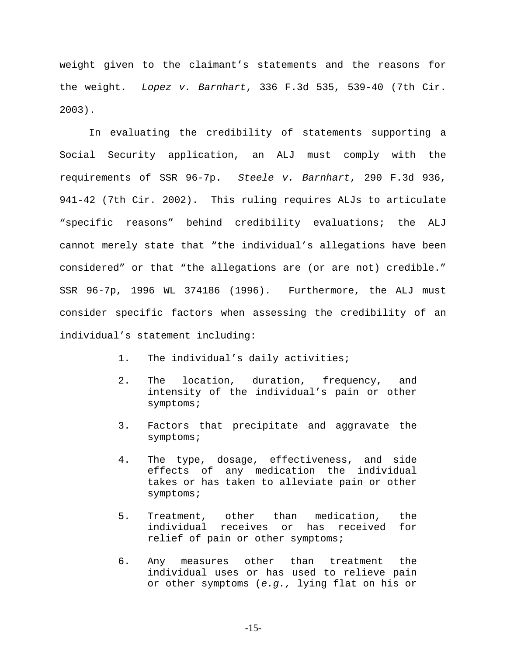weight given to the claimant's statements and the reasons for the weight. Lopez v. Barnhart, 336 F.3d 535, 539-40 (7th Cir. 2003).

In evaluating the credibility of statements supporting a Social Security application, an ALJ must comply with the requirements of SSR 96-7p. Steele v. Barnhart, 290 F.3d 936, 941-42 (7th Cir. 2002). This ruling requires ALJs to articulate "specific reasons" behind credibility evaluations; the ALJ cannot merely state that "the individual's allegations have been considered" or that "the allegations are (or are not) credible." SSR 96-7p, 1996 WL 374186 (1996). Furthermore, the ALJ must consider specific factors when assessing the credibility of an individual's statement including:

- 1. The individual's daily activities;
- 2. The location, duration, frequency, and intensity of the individual's pain or other symptoms;
- 3. Factors that precipitate and aggravate the symptoms;
- 4. The type, dosage, effectiveness, and side effects of any medication the individual takes or has taken to alleviate pain or other symptoms;
- 5. Treatment, other than medication, the individual receives or has received for relief of pain or other symptoms;
- 6. Any measures other than treatment the individual uses or has used to relieve pain or other symptoms (e.g., lying flat on his or

-15-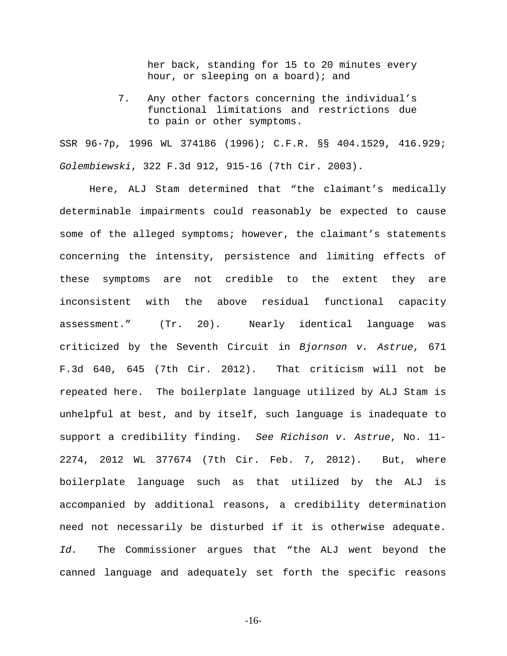her back, standing for 15 to 20 minutes every hour, or sleeping on a board); and

7. Any other factors concerning the individual's functional limitations and restrictions due to pain or other symptoms.

SSR 96-7p, 1996 WL 374186 (1996); C.F.R. §§ 404.1529, 416.929; Golembiewski, 322 F.3d 912, 915-16 (7th Cir. 2003).

Here, ALJ Stam determined that "the claimant's medically determinable impairments could reasonably be expected to cause some of the alleged symptoms; however, the claimant's statements concerning the intensity, persistence and limiting effects of these symptoms are not credible to the extent they are inconsistent with the above residual functional capacity assessment." (Tr. 20). Nearly identical language was criticized by the Seventh Circuit in Bjornson v. Astrue, 671 F.3d 640, 645 (7th Cir. 2012). That criticism will not be repeated here. The boilerplate language utilized by ALJ Stam is unhelpful at best, and by itself, such language is inadequate to support a credibility finding. See Richison v. Astrue, No. 11- 2274, 2012 WL 377674 (7th Cir. Feb. 7, 2012). But, where boilerplate language such as that utilized by the ALJ is accompanied by additional reasons, a credibility determination need not necessarily be disturbed if it is otherwise adequate. Id. The Commissioner argues that "the ALJ went beyond the canned language and adequately set forth the specific reasons

-16-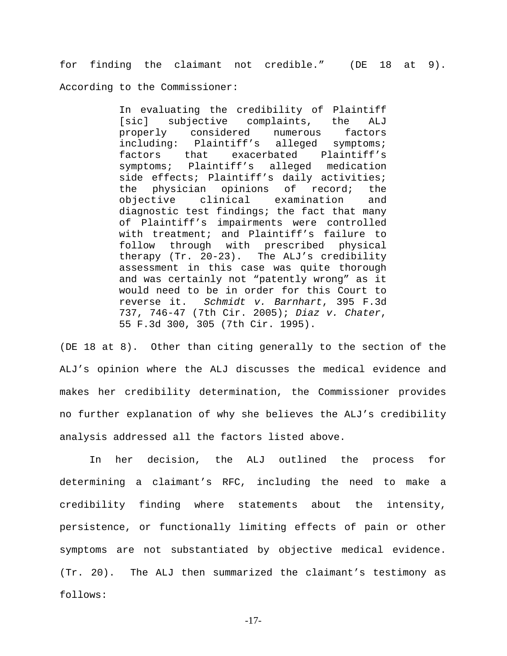for finding the claimant not credible." (DE 18 at 9). According to the Commissioner:

> In evaluating the credibility of Plaintiff [sic] subjective complaints, the ALJ properly considered numerous factors including: Plaintiff's alleged symptoms; factors that exacerbated Plaintiff's symptoms; Plaintiff's alleged medication side effects; Plaintiff's daily activities; the physician opinions of record; the objective clinical examination and diagnostic test findings; the fact that many of Plaintiff's impairments were controlled with treatment; and Plaintiff's failure to follow through with prescribed physical therapy (Tr. 20-23). The ALJ's credibility assessment in this case was quite thorough and was certainly not "patently wrong" as it would need to be in order for this Court to reverse it. Schmidt v. Barnhart, 395 F.3d 737, 746-47 (7th Cir. 2005); Diaz v. Chater, 55 F.3d 300, 305 (7th Cir. 1995).

(DE 18 at 8). Other than citing generally to the section of the ALJ's opinion where the ALJ discusses the medical evidence and makes her credibility determination, the Commissioner provides no further explanation of why she believes the ALJ's credibility analysis addressed all the factors listed above.

In her decision, the ALJ outlined the process for determining a claimant's RFC, including the need to make a credibility finding where statements about the intensity, persistence, or functionally limiting effects of pain or other symptoms are not substantiated by objective medical evidence. (Tr. 20). The ALJ then summarized the claimant's testimony as follows:

-17-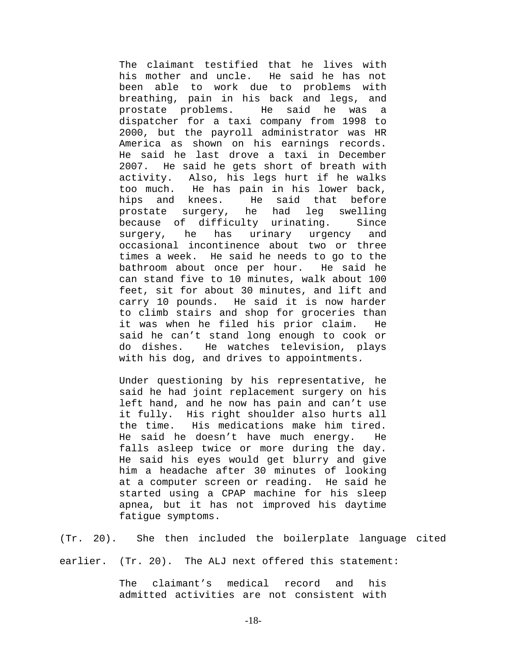The claimant testified that he lives with his mother and uncle. He said he has not been able to work due to problems with breathing, pain in his back and legs, and prostate problems. He said he was a dispatcher for a taxi company from 1998 to 2000, but the payroll administrator was HR America as shown on his earnings records. He said he last drove a taxi in December 2007. He said he gets short of breath with activity. Also, his legs hurt if he walks too much. He has pain in his lower back, hips and knees. He said that before prostate surgery, he had leg swelling because of difficulty urinating. Since surgery, he has urinary urgency and occasional incontinence about two or three times a week. He said he needs to go to the bathroom about once per hour. He said he can stand five to 10 minutes, walk about 100 feet, sit for about 30 minutes, and lift and carry 10 pounds. He said it is now harder to climb stairs and shop for groceries than it was when he filed his prior claim. He said he can't stand long enough to cook or do dishes. He watches television, plays with his dog, and drives to appointments.

Under questioning by his representative, he said he had joint replacement surgery on his left hand, and he now has pain and can't use it fully. His right shoulder also hurts all the time. His medications make him tired. He said he doesn't have much energy. He falls asleep twice or more during the day. He said his eyes would get blurry and give him a headache after 30 minutes of looking at a computer screen or reading. He said he started using a CPAP machine for his sleep apnea, but it has not improved his daytime fatigue symptoms.

(Tr. 20). She then included the boilerplate language cited earlier. (Tr. 20). The ALJ next offered this statement:

> The claimant's medical record and his admitted activities are not consistent with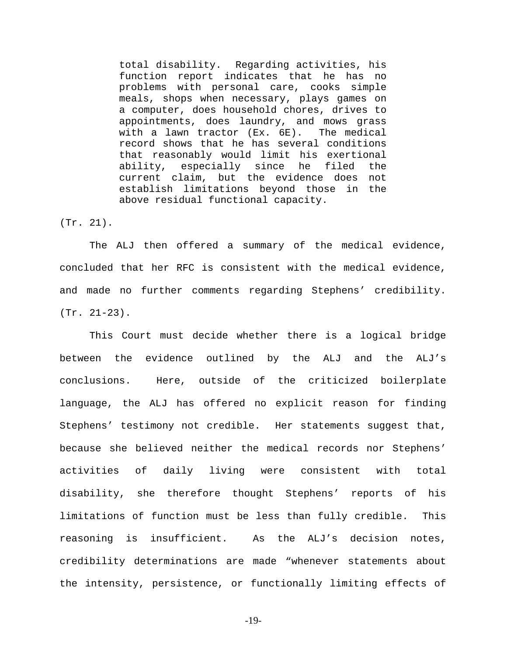total disability. Regarding activities, his function report indicates that he has no problems with personal care, cooks simple meals, shops when necessary, plays games on a computer, does household chores, drives to appointments, does laundry, and mows grass with a lawn tractor (Ex. 6E). The medical record shows that he has several conditions that reasonably would limit his exertional ability, especially since he filed the current claim, but the evidence does not establish limitations beyond those in the above residual functional capacity.

(Tr. 21).

The ALJ then offered a summary of the medical evidence, concluded that her RFC is consistent with the medical evidence, and made no further comments regarding Stephens' credibility. (Tr. 21-23).

This Court must decide whether there is a logical bridge between the evidence outlined by the ALJ and the ALJ's conclusions. Here, outside of the criticized boilerplate language, the ALJ has offered no explicit reason for finding Stephens' testimony not credible. Her statements suggest that, because she believed neither the medical records nor Stephens' activities of daily living were consistent with total disability, she therefore thought Stephens' reports of his limitations of function must be less than fully credible. This reasoning is insufficient. As the ALJ's decision notes, credibility determinations are made "whenever statements about the intensity, persistence, or functionally limiting effects of

-19-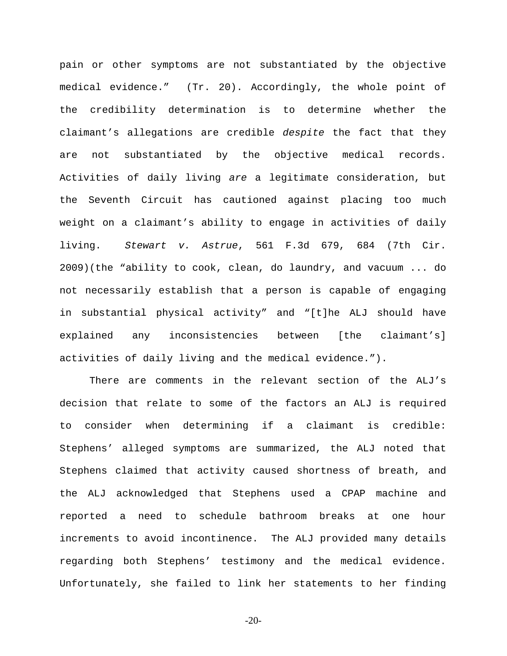pain or other symptoms are not substantiated by the objective medical evidence." (Tr. 20). Accordingly, the whole point of the credibility determination is to determine whether the claimant's allegations are credible despite the fact that they are not substantiated by the objective medical records. Activities of daily living are a legitimate consideration, but the Seventh Circuit has cautioned against placing too much weight on a claimant's ability to engage in activities of daily living. Stewart v. Astrue, 561 F.3d 679, 684 (7th Cir. 2009)(the "ability to cook, clean, do laundry, and vacuum ... do not necessarily establish that a person is capable of engaging in substantial physical activity" and "[t]he ALJ should have explained any inconsistencies between [the claimant's] activities of daily living and the medical evidence.").

There are comments in the relevant section of the ALJ's decision that relate to some of the factors an ALJ is required to consider when determining if a claimant is credible: Stephens' alleged symptoms are summarized, the ALJ noted that Stephens claimed that activity caused shortness of breath, and the ALJ acknowledged that Stephens used a CPAP machine and reported a need to schedule bathroom breaks at one hour increments to avoid incontinence. The ALJ provided many details regarding both Stephens' testimony and the medical evidence. Unfortunately, she failed to link her statements to her finding

-20-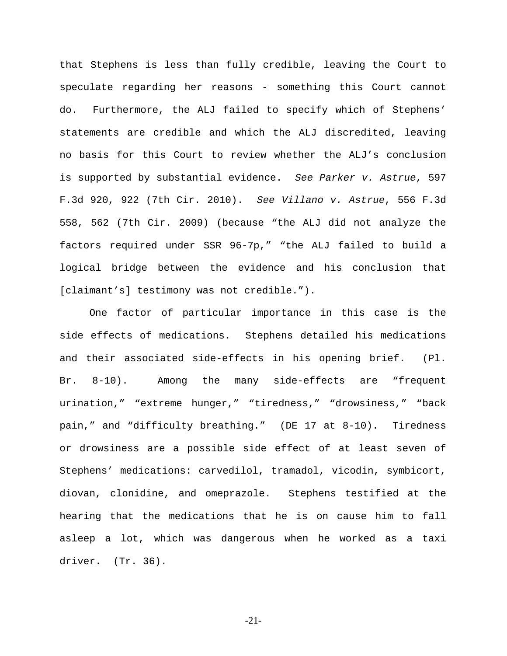that Stephens is less than fully credible, leaving the Court to speculate regarding her reasons - something this Court cannot do. Furthermore, the ALJ failed to specify which of Stephens' statements are credible and which the ALJ discredited, leaving no basis for this Court to review whether the ALJ's conclusion is supported by substantial evidence. See Parker v. Astrue, 597 F.3d 920, 922 (7th Cir. 2010). See Villano v. Astrue, 556 F.3d 558, 562 (7th Cir. 2009) (because "the ALJ did not analyze the factors required under SSR 96-7p," "the ALJ failed to build a logical bridge between the evidence and his conclusion that [claimant's] testimony was not credible.").

One factor of particular importance in this case is the side effects of medications. Stephens detailed his medications and their associated side-effects in his opening brief. (Pl. Br. 8-10). Among the many side-effects are "frequent urination," "extreme hunger," "tiredness," "drowsiness," "back pain," and "difficulty breathing." (DE 17 at 8-10). Tiredness or drowsiness are a possible side effect of at least seven of Stephens' medications: carvedilol, tramadol, vicodin, symbicort, diovan, clonidine, and omeprazole. Stephens testified at the hearing that the medications that he is on cause him to fall asleep a lot, which was dangerous when he worked as a taxi driver. (Tr. 36).

-21-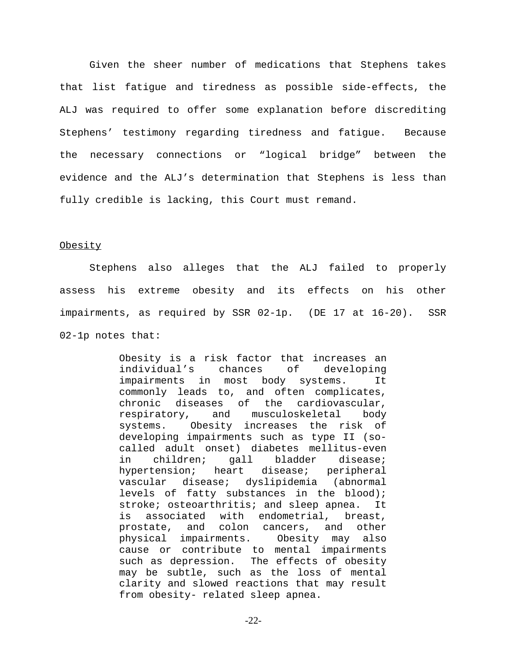Given the sheer number of medications that Stephens takes that list fatigue and tiredness as possible side-effects, the ALJ was required to offer some explanation before discrediting Stephens' testimony regarding tiredness and fatigue. Because the necessary connections or "logical bridge" between the evidence and the ALJ's determination that Stephens is less than fully credible is lacking, this Court must remand.

#### **Obesity**

Stephens also alleges that the ALJ failed to properly assess his extreme obesity and its effects on his other impairments, as required by SSR 02-1p. (DE 17 at 16-20). SSR 02-1p notes that:

> Obesity is a risk factor that increases an individual's chances of developing impairments in most body systems. It commonly leads to, and often complicates, chronic diseases of the cardiovascular, respiratory, and musculoskeletal body systems. Obesity increases the risk of developing impairments such as type II (socalled adult onset) diabetes mellitus-even in children; gall bladder disease; hypertension; heart disease; peripheral vascular disease; dyslipidemia (abnormal levels of fatty substances in the blood); stroke; osteoarthritis; and sleep apnea. It is associated with endometrial, breast, prostate, and colon cancers, and other physical impairments. Obesity may also cause or contribute to mental impairments such as depression. The effects of obesity may be subtle, such as the loss of mental clarity and slowed reactions that may result from obesity- related sleep apnea.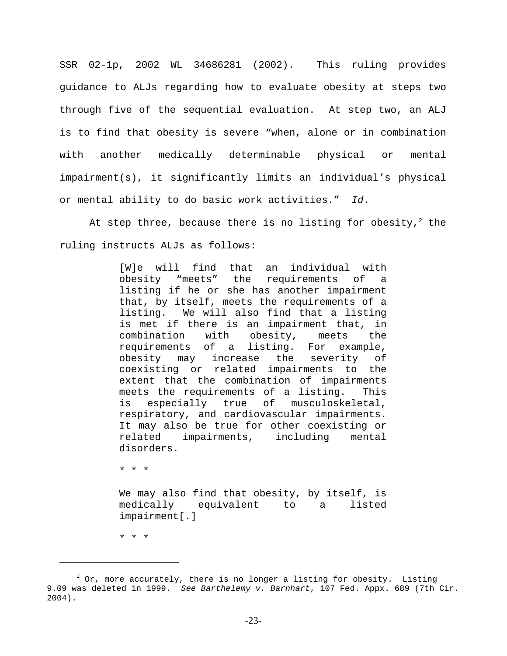SSR 02-1p, 2002 WL 34686281 (2002). This ruling provides guidance to ALJs regarding how to evaluate obesity at steps two through five of the sequential evaluation. At step two, an ALJ is to find that obesity is severe "when, alone or in combination with another medically determinable physical or mental impairment(s), it significantly limits an individual's physical or mental ability to do basic work activities." Id.

At step three, because there is no listing for obesity, $^2$  the ruling instructs ALJs as follows:

> [W]e will find that an individual with obesity "meets" the requirements of a listing if he or she has another impairment that, by itself, meets the requirements of a listing. We will also find that a listing is met if there is an impairment that, in combination with obesity, meets the requirements of a listing. For example, obesity may increase the severity of coexisting or related impairments to the extent that the combination of impairments meets the requirements of a listing. This is especially true of musculoskeletal, respiratory, and cardiovascular impairments. It may also be true for other coexisting or related impairments, including mental disorders.

\* \* \*

We may also find that obesity, by itself, is medically equivalent to a listed impairment[.]

\* \* \*

 $^2$  Or, more accurately, there is no longer a listing for obesity. Listing 9.09 was deleted in 1999. See Barthelemy v. Barnhart, 107 Fed. Appx. 689 (7th Cir. 2004).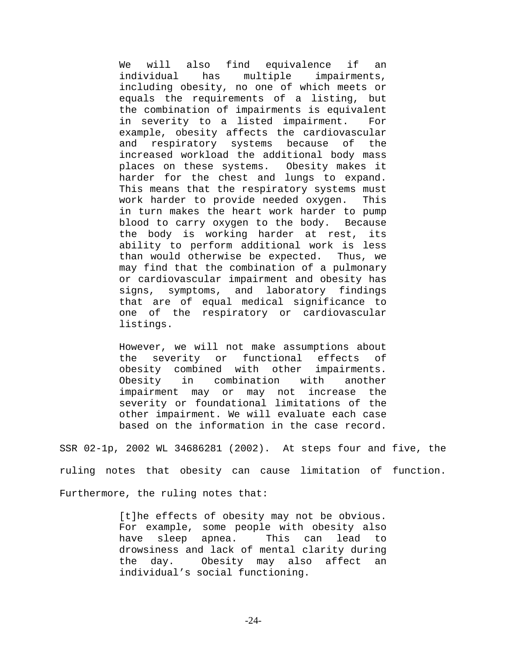We will also find equivalence if an individual has multiple impairments, including obesity, no one of which meets or equals the requirements of a listing, but the combination of impairments is equivalent in severity to a listed impairment. For example, obesity affects the cardiovascular and respiratory systems because of the increased workload the additional body mass places on these systems. Obesity makes it harder for the chest and lungs to expand. This means that the respiratory systems must work harder to provide needed oxygen. This in turn makes the heart work harder to pump blood to carry oxygen to the body. Because the body is working harder at rest, its ability to perform additional work is less than would otherwise be expected. Thus, we may find that the combination of a pulmonary or cardiovascular impairment and obesity has signs, symptoms, and laboratory findings that are of equal medical significance to one of the respiratory or cardiovascular listings.

However, we will not make assumptions about the severity or functional effects of obesity combined with other impairments. Obesity in combination with another impairment may or may not increase the severity or foundational limitations of the other impairment. We will evaluate each case based on the information in the case record.

SSR 02-1p, 2002 WL 34686281 (2002). At steps four and five, the ruling notes that obesity can cause limitation of function. Furthermore, the ruling notes that:

> [t]he effects of obesity may not be obvious. For example, some people with obesity also have sleep apnea. This can lead to drowsiness and lack of mental clarity during the day. Obesity may also affect an individual's social functioning.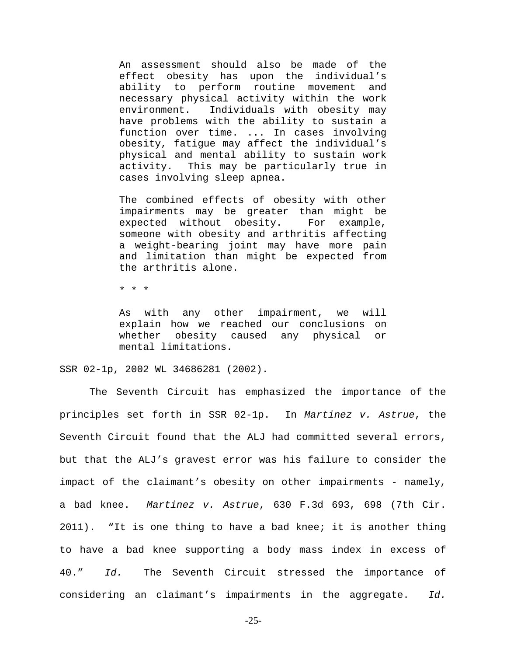An assessment should also be made of the effect obesity has upon the individual's ability to perform routine movement and necessary physical activity within the work environment. Individuals with obesity may have problems with the ability to sustain a function over time. ... In cases involving obesity, fatigue may affect the individual's physical and mental ability to sustain work activity. This may be particularly true in cases involving sleep apnea.

The combined effects of obesity with other impairments may be greater than might be expected without obesity. For example, someone with obesity and arthritis affecting a weight-bearing joint may have more pain and limitation than might be expected from the arthritis alone.

\* \* \*

As with any other impairment, we will explain how we reached our conclusions on whether obesity caused any physical or mental limitations.

SSR 02-1p, 2002 WL 34686281 (2002).

 The Seventh Circuit has emphasized the importance of the principles set forth in SSR 02-1p. In Martinez v. Astrue, the Seventh Circuit found that the ALJ had committed several errors, but that the ALJ's gravest error was his failure to consider the impact of the claimant's obesity on other impairments - namely, a bad knee. Martinez v. Astrue, 630 F.3d 693, 698 (7th Cir. 2011). "It is one thing to have a bad knee; it is another thing to have a bad knee supporting a body mass index in excess of 40." Id. The Seventh Circuit stressed the importance of considering an claimant's impairments in the aggregate. Id.

-25-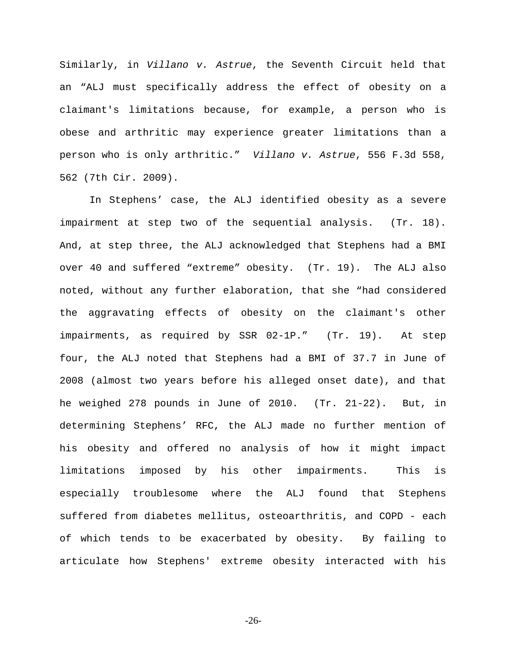Similarly, in Villano v. Astrue, the Seventh Circuit held that an "ALJ must specifically address the effect of obesity on a claimant's limitations because, for example, a person who is obese and arthritic may experience greater limitations than a person who is only arthritic." Villano v. Astrue, 556 F.3d 558, 562 (7th Cir. 2009).

In Stephens' case, the ALJ identified obesity as a severe impairment at step two of the sequential analysis. (Tr. 18). And, at step three, the ALJ acknowledged that Stephens had a BMI over 40 and suffered "extreme" obesity. (Tr. 19). The ALJ also noted, without any further elaboration, that she "had considered the aggravating effects of obesity on the claimant's other impairments, as required by SSR 02-1P." (Tr. 19). At step four, the ALJ noted that Stephens had a BMI of 37.7 in June of 2008 (almost two years before his alleged onset date), and that he weighed 278 pounds in June of 2010. (Tr. 21-22). But, in determining Stephens' RFC, the ALJ made no further mention of his obesity and offered no analysis of how it might impact limitations imposed by his other impairments. This is especially troublesome where the ALJ found that Stephens suffered from diabetes mellitus, osteoarthritis, and COPD - each of which tends to be exacerbated by obesity. By failing to articulate how Stephens' extreme obesity interacted with his

-26-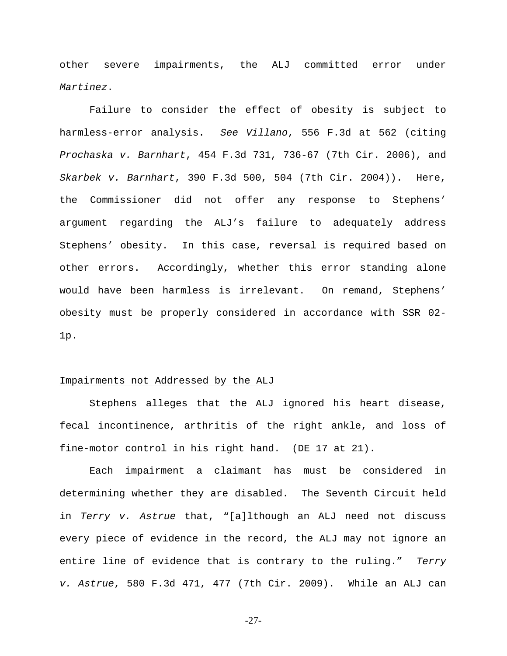other severe impairments, the ALJ committed error under Martinez.

Failure to consider the effect of obesity is subject to harmless-error analysis. See Villano, 556 F.3d at 562 (citing Prochaska v. Barnhart, 454 F.3d 731, 736-67 (7th Cir. 2006), and Skarbek v. Barnhart, 390 F.3d 500, 504 (7th Cir. 2004)). Here, the Commissioner did not offer any response to Stephens' argument regarding the ALJ's failure to adequately address Stephens' obesity. In this case, reversal is required based on other errors. Accordingly, whether this error standing alone would have been harmless is irrelevant. On remand, Stephens' obesity must be properly considered in accordance with SSR 02- 1p.

### Impairments not Addressed by the ALJ

Stephens alleges that the ALJ ignored his heart disease, fecal incontinence, arthritis of the right ankle, and loss of fine-motor control in his right hand. (DE 17 at 21).

Each impairment a claimant has must be considered in determining whether they are disabled. The Seventh Circuit held in Terry v. Astrue that, "[a]lthough an ALJ need not discuss every piece of evidence in the record, the ALJ may not ignore an entire line of evidence that is contrary to the ruling." Terry v. Astrue, 580 F.3d 471, 477 (7th Cir. 2009). While an ALJ can

-27-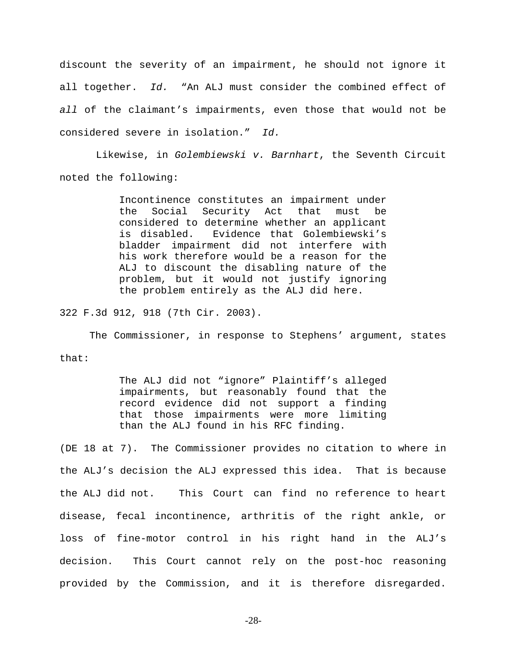discount the severity of an impairment, he should not ignore it all together. Id. "An ALJ must consider the combined effect of all of the claimant's impairments, even those that would not be considered severe in isolation." Id.

 Likewise, in Golembiewski v. Barnhart, the Seventh Circuit noted the following:

> Incontinence constitutes an impairment under the Social Security Act that must be considered to determine whether an applicant is disabled. Evidence that Golembiewski's bladder impairment did not interfere with his work therefore would be a reason for the ALJ to discount the disabling nature of the problem, but it would not justify ignoring the problem entirely as the ALJ did here.

322 F.3d 912, 918 (7th Cir. 2003).

The Commissioner, in response to Stephens' argument, states that:

> The ALJ did not "ignore" Plaintiff's alleged impairments, but reasonably found that the record evidence did not support a finding that those impairments were more limiting than the ALJ found in his RFC finding.

(DE 18 at 7). The Commissioner provides no citation to where in the ALJ's decision the ALJ expressed this idea. That is because the ALJ did not. This Court can find no reference to heart disease, fecal incontinence, arthritis of the right ankle, or loss of fine-motor control in his right hand in the ALJ's decision. This Court cannot rely on the post-hoc reasoning provided by the Commission, and it is therefore disregarded.

-28-